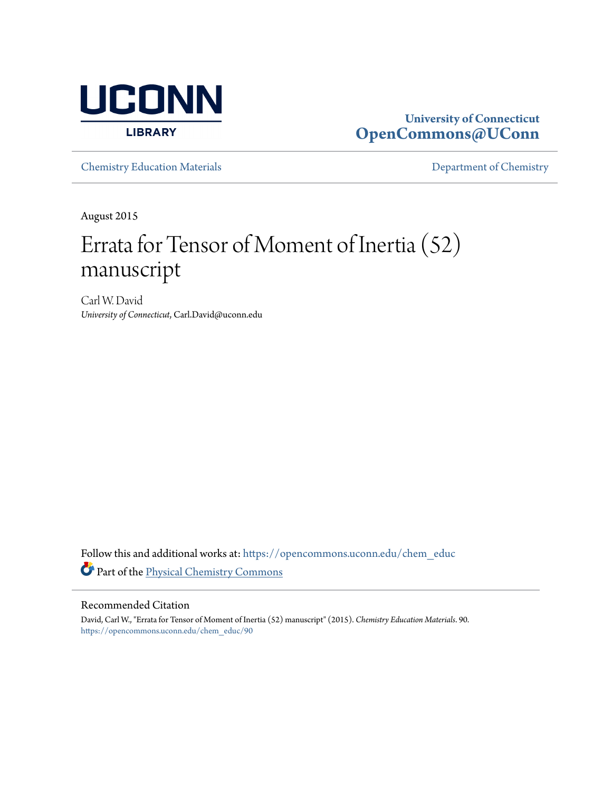

## **University of Connecticut [OpenCommons@UConn](https://opencommons.uconn.edu?utm_source=opencommons.uconn.edu%2Fchem_educ%2F90&utm_medium=PDF&utm_campaign=PDFCoverPages)**

[Chemistry Education Materials](https://opencommons.uconn.edu/chem_educ?utm_source=opencommons.uconn.edu%2Fchem_educ%2F90&utm_medium=PDF&utm_campaign=PDFCoverPages) **[Department of Chemistry](https://opencommons.uconn.edu/chem?utm_source=opencommons.uconn.edu%2Fchem_educ%2F90&utm_medium=PDF&utm_campaign=PDFCoverPages)** 

August 2015

## Errata for Tensor of Moment of Inertia (52) manuscript

Carl W. David *University of Connecticut*, Carl.David@uconn.edu

Follow this and additional works at: [https://opencommons.uconn.edu/chem\\_educ](https://opencommons.uconn.edu/chem_educ?utm_source=opencommons.uconn.edu%2Fchem_educ%2F90&utm_medium=PDF&utm_campaign=PDFCoverPages) Part of the [Physical Chemistry Commons](http://network.bepress.com/hgg/discipline/139?utm_source=opencommons.uconn.edu%2Fchem_educ%2F90&utm_medium=PDF&utm_campaign=PDFCoverPages)

## Recommended Citation

David, Carl W., "Errata for Tensor of Moment of Inertia (52) manuscript" (2015). *Chemistry Education Materials*. 90. [https://opencommons.uconn.edu/chem\\_educ/90](https://opencommons.uconn.edu/chem_educ/90?utm_source=opencommons.uconn.edu%2Fchem_educ%2F90&utm_medium=PDF&utm_campaign=PDFCoverPages)